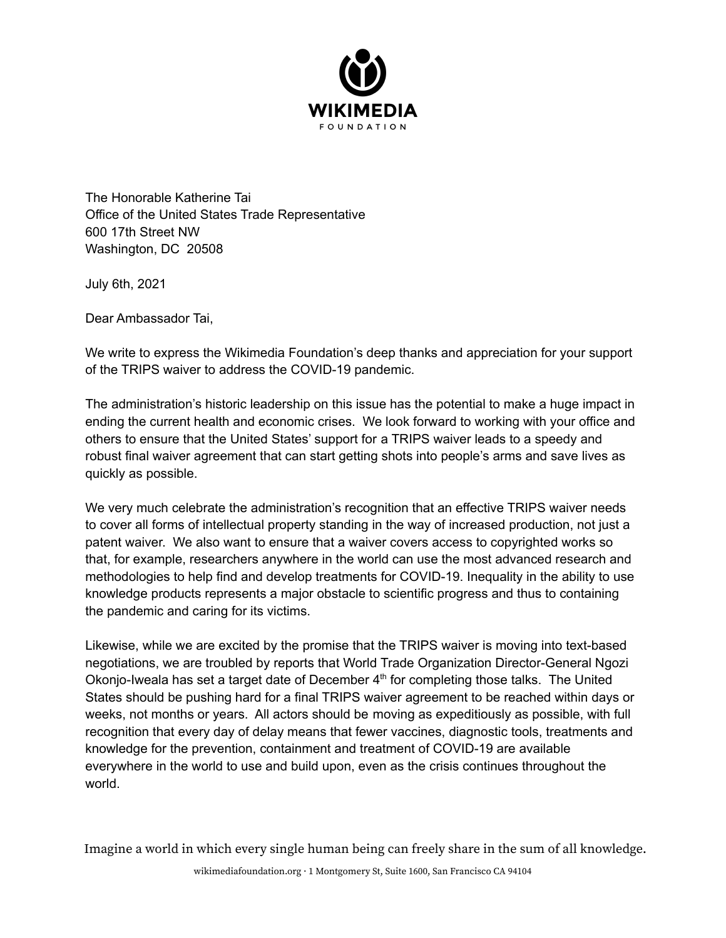

The Honorable Katherine Tai Office of the United States Trade Representative 600 17th Street NW Washington, DC 20508

July 6th, 2021

Dear Ambassador Tai,

We write to express the Wikimedia Foundation's deep thanks and appreciation for your support of the TRIPS waiver to address the COVID-19 pandemic.

The administration's historic leadership on this issue has the potential to make a huge impact in ending the current health and economic crises. We look forward to working with your office and others to ensure that the United States' support for a TRIPS waiver leads to a speedy and robust final waiver agreement that can start getting shots into people's arms and save lives as quickly as possible.

We very much celebrate the administration's recognition that an effective TRIPS waiver needs to cover all forms of intellectual property standing in the way of increased production, not just a patent waiver. We also want to ensure that a waiver covers access to copyrighted works so that, for example, researchers anywhere in the world can use the most advanced research and methodologies to help find and develop treatments for COVID-19. Inequality in the ability to use knowledge products represents a major obstacle to scientific progress and thus to containing the pandemic and caring for its victims.

Likewise, while we are excited by the promise that the TRIPS waiver is moving into text-based negotiations, we are troubled by reports that World Trade Organization Director-General Ngozi Okonjo-Iweala has set a target date of December 4<sup>th</sup> for completing those talks. The United States should be pushing hard for a final TRIPS waiver agreement to be reached within days or weeks, not months or years. All actors should be moving as expeditiously as possible, with full recognition that every day of delay means that fewer vaccines, diagnostic tools, treatments and knowledge for the prevention, containment and treatment of COVID-19 are available everywhere in the world to use and build upon, even as the crisis continues throughout the world.

Imagine a world in which every single human being can freely share in the sum of all knowledge.